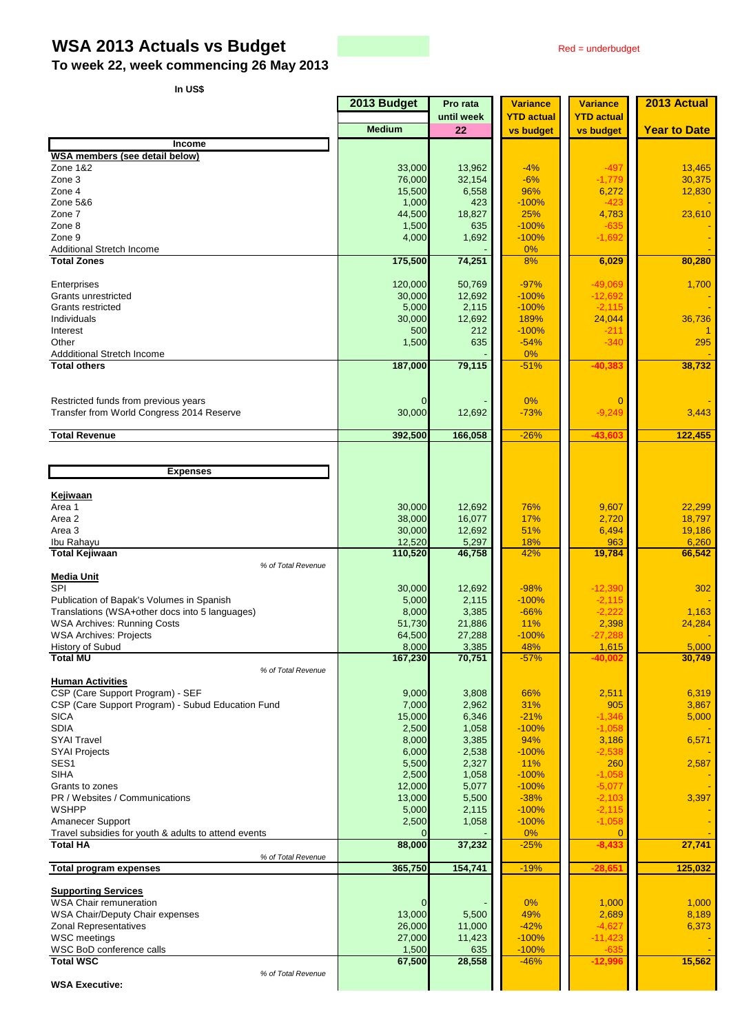# **WSA 2013 Actuals vs Budget** Red = underbudget

**To week 22, week commencing 26 May 2013**

**In US\$**

|                                                             | 2013 Budget     | Pro rata         | <b>Variance</b>   | <b>Variance</b>                | 2013 Actual         |
|-------------------------------------------------------------|-----------------|------------------|-------------------|--------------------------------|---------------------|
|                                                             | <b>Medium</b>   | until week<br>22 | <b>YTD</b> actual | <b>YTD actual</b><br>vs budget | <b>Year to Date</b> |
| <b>Income</b>                                               |                 |                  | vs budget         |                                |                     |
| WSA members (see detail below)                              |                 |                  |                   |                                |                     |
| Zone 1&2                                                    | 33,000          | 13,962           | $-4%$             | $-497$                         | 13,465              |
| Zone 3                                                      | 76,000          | 32,154           | $-6%$             | $-1,779$                       | 30,375              |
| Zone 4                                                      | 15,500          | 6,558            | 96%               | 6,272                          | 12,830              |
| Zone 5&6                                                    | 1,000           | 423              | $-100%$           | $-423$                         |                     |
| Zone 7<br>Zone 8                                            | 44,500          | 18,827<br>635    | 25%<br>$-100%$    | 4,783                          | 23,610              |
| Zone 9                                                      | 1,500<br>4,000  | 1,692            | $-100%$           | $-635$<br>$-1,692$             |                     |
| Additional Stretch Income                                   |                 |                  | $0\%$             |                                |                     |
| <b>Total Zones</b>                                          | 175,500         | 74,251           | 8%                | 6,029                          | 80,280              |
|                                                             |                 |                  |                   |                                |                     |
| Enterprises                                                 | 120,000         | 50,769           | $-97%$            | $-49,069$                      | 1,700               |
| Grants unrestricted                                         | 30,000          | 12,692           | $-100%$           | $-12,692$                      |                     |
| Grants restricted                                           | 5,000           | 2,115            | $-100%$           | $-2,115$                       |                     |
| Individuals                                                 | 30,000          | 12,692           | 189%              | 24,044                         | 36,736              |
| Interest<br>Other                                           | 500<br>1,500    | 212<br>635       | $-100%$<br>$-54%$ | $-211$<br>$-340$               | $\mathbf{1}$<br>295 |
| Addditional Stretch Income                                  |                 |                  | 0%                |                                |                     |
| <b>Total others</b>                                         | 187,000         | 79,115           | $-51%$            | $-40,383$                      | 38,732              |
|                                                             |                 |                  |                   |                                |                     |
|                                                             |                 |                  |                   |                                |                     |
| Restricted funds from previous years                        | $\Omega$        |                  | $0\%$             | $\mathbf 0$                    |                     |
| Transfer from World Congress 2014 Reserve                   | 30,000          | 12,692           | $-73%$            | $-9,249$                       | 3,443               |
|                                                             |                 |                  |                   |                                |                     |
| <b>Total Revenue</b>                                        | 392,500         | 166,058          | $-26%$            | $-43,603$                      | 122,455             |
|                                                             |                 |                  |                   |                                |                     |
| <b>Expenses</b>                                             |                 |                  |                   |                                |                     |
|                                                             |                 |                  |                   |                                |                     |
| <b>Kejiwaan</b>                                             |                 |                  |                   |                                |                     |
| Area 1                                                      | 30,000          | 12,692           | 76%               | 9,607                          | 22,299              |
| Area 2                                                      | 38,000          | 16,077           | 17%               | 2,720                          | 18,797              |
| Area 3                                                      | 30,000          | 12,692           | 51%               | 6,494                          | 19,186              |
| Ibu Rahayu                                                  | 12,520          | 5,297            | 18%<br>42%        | 963                            | 6,260               |
| <b>Total Kejiwaan</b><br>% of Total Revenue                 | 110,520         | 46,758           |                   | 19,784                         | 66,542              |
| <b>Media Unit</b>                                           |                 |                  |                   |                                |                     |
| SPI                                                         | 30,000          | 12,692           | $-98%$            | $-12,390$                      | 302                 |
| Publication of Bapak's Volumes in Spanish                   | 5,000           | 2,115            | $-100%$           | $-2,115$                       |                     |
| Translations (WSA+other docs into 5 languages)              | 8,000           | 3,385            | $-66%$            | $-2,222$                       | 1,163               |
| <b>WSA Archives: Running Costs</b>                          | 51,730          | 21,886           | 11%               | 2,398                          | 24,284              |
| <b>WSA Archives: Projects</b>                               | 64,500          | 27,288           | $-100%$           | $-27,288$                      |                     |
| <b>History of Subud</b>                                     | 8.000           | 3,385            | 48%               | 1,615                          | 5,000               |
| <b>Total MU</b>                                             | 167,230         | 70,751           | $-57%$            | $-40,002$                      | 30,749              |
| % of Total Revenue<br><b>Human Activities</b>               |                 |                  |                   |                                |                     |
| CSP (Care Support Program) - SEF                            | 9,000           | 3,808            | 66%               | 2,511                          | 6,319               |
| CSP (Care Support Program) - Subud Education Fund           | 7,000           | 2,962            | 31%               | 905                            | 3,867               |
| <b>SICA</b>                                                 | 15,000          | 6,346            | $-21%$            | $-1,346$                       | 5,000               |
| <b>SDIA</b>                                                 | 2,500           | 1,058            | $-100%$           | $-1,058$                       |                     |
| <b>SYAI Travel</b>                                          | 8,000           | 3,385            | 94%               | 3,186                          | 6,571               |
| <b>SYAI Projects</b>                                        | 6,000           | 2,538            | $-100%$           | $-2,538$                       |                     |
| SES <sub>1</sub>                                            | 5,500           | 2,327            | 11%               | 260                            | 2,587               |
| <b>SIHA</b>                                                 | 2,500           | 1,058            | $-100%$           | $-1,058$                       |                     |
| Grants to zones                                             | 12,000          | 5,077            | $-100%$           | $-5,077$                       |                     |
| PR / Websites / Communications<br><b>WSHPP</b>              | 13,000<br>5,000 | 5,500<br>2,115   | $-38%$<br>$-100%$ | $-2,103$                       | 3,397               |
| Amanecer Support                                            | 2,500           | 1,058            | $-100%$           | $-2,115$<br>$-1,058$           |                     |
| Travel subsidies for youth & adults to attend events        |                 |                  | 0%                | $\mathbf 0$                    |                     |
| <b>Total HA</b>                                             | 88,000          | 37,232           | $-25%$            | $-8,433$                       | 27,741              |
| % of Total Revenue                                          |                 |                  |                   |                                |                     |
| <b>Total program expenses</b>                               | 365,750         | 154,741          | $-19%$            | $-28,651$                      | 125,032             |
|                                                             |                 |                  |                   |                                |                     |
| <b>Supporting Services</b><br><b>WSA Chair remuneration</b> |                 |                  | $0\%$             | 1,000                          | 1,000               |
| WSA Chair/Deputy Chair expenses                             | 13,000          | 5,500            | 49%               | 2,689                          | 8,189               |
| <b>Zonal Representatives</b>                                | 26,000          | 11,000           | $-42%$            | $-4,627$                       | 6,373               |
| <b>WSC</b> meetings                                         | 27,000          | 11,423           | $-100%$           | $-11,423$                      |                     |
| WSC BoD conference calls                                    | 1,500           | 635              | $-100%$           | $-635$                         |                     |
| <b>Total WSC</b>                                            | 67,500          | 28,558           | $-46%$            | $-12,996$                      | 15,562              |
| % of Total Revenue                                          |                 |                  |                   |                                |                     |
| <b>WSA Executive:</b>                                       |                 |                  |                   |                                |                     |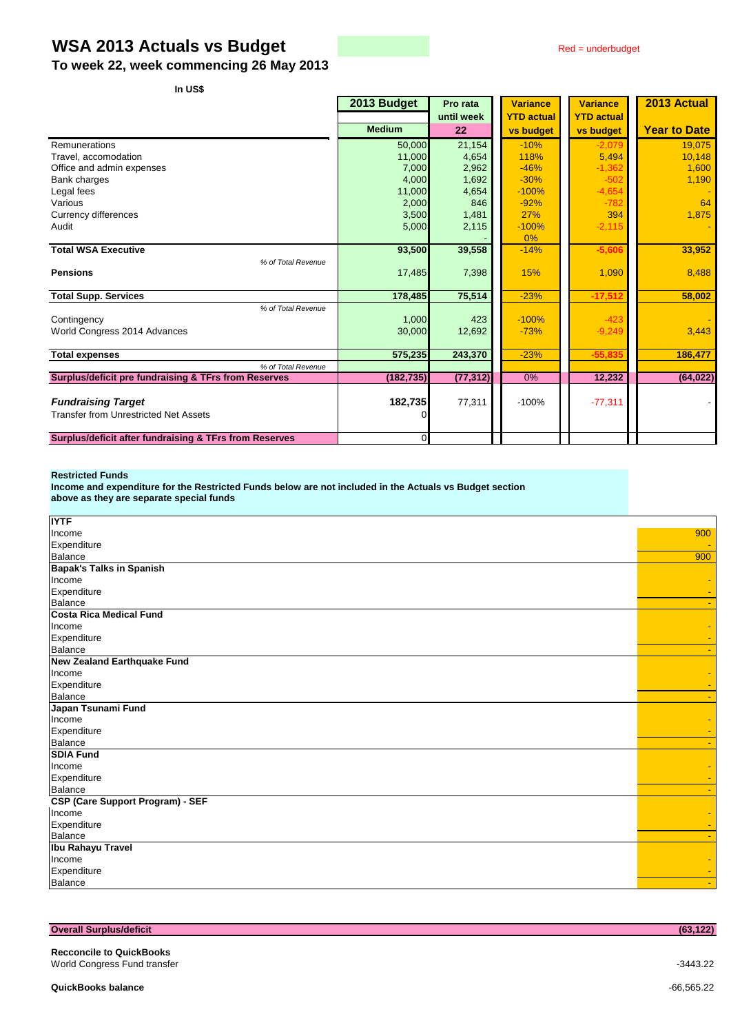## **WSA 2013 Actuals vs Budget** Red = underbudget

**To week 22, week commencing 26 May 2013**

**In US\$**

| בט ווו                                                 |                |            |                   |                   |                     |
|--------------------------------------------------------|----------------|------------|-------------------|-------------------|---------------------|
|                                                        | 2013 Budget    | Pro rata   | <b>Variance</b>   | <b>Variance</b>   | 2013 Actual         |
|                                                        |                | until week | <b>YTD actual</b> | <b>YTD actual</b> |                     |
|                                                        | <b>Medium</b>  | 22         | <b>vs budget</b>  | <b>vs budget</b>  | <b>Year to Date</b> |
| Remunerations                                          | 50.000         | 21,154     | $-10%$            | $-2,079$          | 19,075              |
| Travel, accomodation                                   | 11,000         | 4,654      | 118%              | 5,494             | 10,148              |
| Office and admin expenses                              | 7,000          | 2,962      | $-46%$            | $-1,362$          | 1,600               |
| Bank charges                                           | 4,000          | 1,692      | $-30%$            | $-502$            | 1,190               |
| Legal fees                                             | 11,000         | 4,654      | $-100%$           | $-4,654$          |                     |
| Various                                                | 2,000          | 846        | $-92%$            | $-782$            | 64                  |
| Currency differences                                   | 3,500          | 1,481      | 27%               | 394               | 1,875               |
| Audit                                                  | 5,000          | 2,115      | $-100%$           | $-2,115$          |                     |
|                                                        |                |            | 0%                |                   |                     |
| <b>Total WSA Executive</b>                             | 93,500         | 39,558     | $-14%$            | $-5,606$          | 33,952              |
| % of Total Revenue                                     |                |            |                   |                   |                     |
| <b>Pensions</b>                                        | 17,485         | 7,398      | 15%               | 1,090             | 8,488               |
|                                                        |                |            |                   |                   |                     |
| <b>Total Supp. Services</b>                            | 178,485        | 75,514     | $-23%$            | $-17,512$         | 58,002              |
| % of Total Revenue                                     |                |            |                   |                   |                     |
| Contingency                                            | 1,000          | 423        | $-100%$           | $-423$            |                     |
| World Congress 2014 Advances                           | 30,000         | 12,692     | $-73%$            | $-9,249$          | 3,443               |
|                                                        |                |            |                   |                   |                     |
| <b>Total expenses</b>                                  | 575,235        | 243,370    | $-23%$            | $-55,835$         | 186.477             |
| % of Total Revenue                                     |                |            |                   |                   |                     |
| Surplus/deficit pre fundraising & TFrs from Reserves   | (182, 735)     | (77, 312)  | 0%                | 12,232            | (64, 022)           |
|                                                        |                |            |                   |                   |                     |
| <b>Fundraising Target</b>                              | 182,735        | 77,311     | $-100%$           | $-77,311$         |                     |
| <b>Transfer from Unrestricted Net Assets</b>           |                |            |                   |                   |                     |
|                                                        |                |            |                   |                   |                     |
| Surplus/deficit after fundraising & TFrs from Reserves | $\overline{0}$ |            |                   |                   |                     |

#### **Restricted Funds**

**Income and expenditure for the Restricted Funds below are not included in the Actuals vs Budget section above as they are separate special funds**

| <b>IYTF</b>                             |     |
|-----------------------------------------|-----|
| Income                                  | 900 |
| Expenditure                             |     |
| Balance                                 | 900 |
| <b>Bapak's Talks in Spanish</b>         |     |
| Income                                  |     |
| Expenditure                             |     |
| Balance                                 |     |
| <b>Costa Rica Medical Fund</b>          |     |
| Income                                  |     |
| Expenditure                             |     |
| <b>Balance</b>                          |     |
| <b>New Zealand Earthquake Fund</b>      |     |
| Income                                  |     |
| Expenditure                             |     |
| Balance                                 |     |
| Japan Tsunami Fund                      |     |
| Income                                  |     |
| Expenditure                             |     |
| Balance                                 |     |
| <b>SDIA Fund</b>                        |     |
| Income                                  |     |
| Expenditure                             |     |
| Balance                                 |     |
| <b>CSP (Care Support Program) - SEF</b> |     |
| Income                                  |     |
| Expenditure                             |     |
| Balance                                 |     |
| <b>Ibu Rahayu Travel</b>                |     |
| Income                                  |     |
| Expenditure                             |     |
| Balance                                 |     |

| <b>Overall Surplus/deficit</b>                                  | (63, 122)    |
|-----------------------------------------------------------------|--------------|
| <b>Recconcile to QuickBooks</b><br>World Congress Fund transfer | $-3443.22$   |
| <b>QuickBooks balance</b>                                       | $-66.565.22$ |